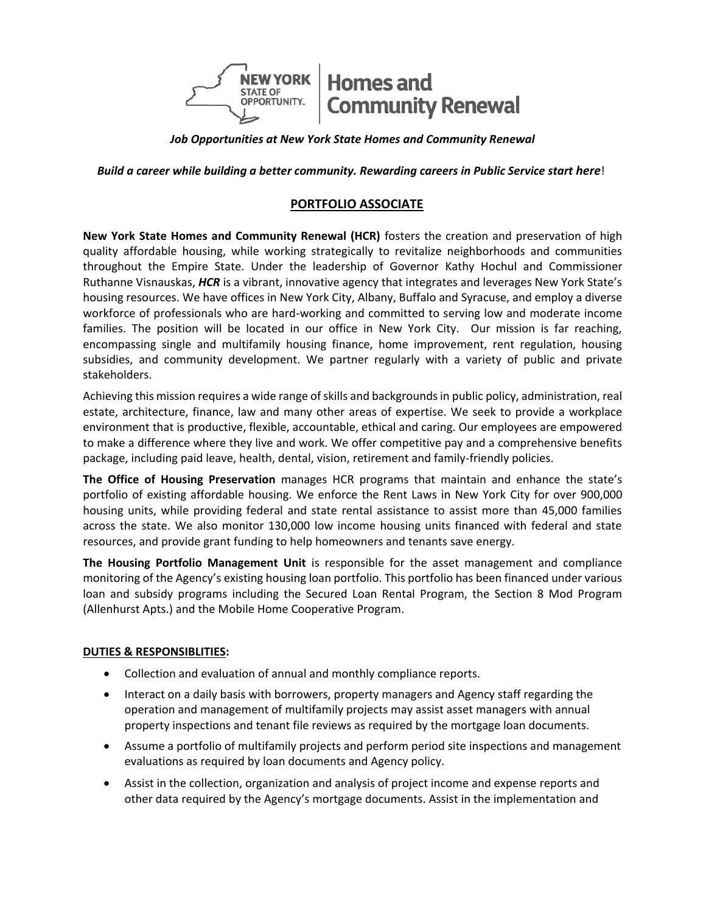

*Job Opportunities at New York State Homes and Community Renewal*

**Build a career while building a better community. Rewarding careers in Public Service start here!** 

# **PORTFOLIO ASSOCIATE**

**New York State Homes and Community Renewal (HCR)** fosters the creation and preservation of high quality affordable housing, while working strategically to revitalize neighborhoods and communities throughout the Empire State. Under the leadership of Governor Kathy Hochul and Commissioner Ruthanne Visnauskas, *HCR* is a vibrant, innovative agency that integrates and leverages New York State's housing resources. We have offices in New York City, Albany, Buffalo and Syracuse, and employ a diverse workforce of professionals who are hard-working and committed to serving low and moderate income families. The position will be located in our office in New York City. Our mission is far reaching, encompassing single and multifamily housing finance, home improvement, rent regulation, housing subsidies, and community development. We partner regularly with a variety of public and private stakeholders.

Achieving this mission requires a wide range of skills and backgrounds in public policy, administration, real estate, architecture, finance, law and many other areas of expertise. We seek to provide a workplace environment that is productive, flexible, accountable, ethical and caring. Our employees are empowered to make a difference where they live and work. We offer competitive pay and a comprehensive benefits package, including paid leave, health, dental, vision, retirement and family-friendly policies.

**The Office of Housing Preservation** manages HCR programs that maintain and enhance the state's portfolio of existing affordable housing. We enforce the Rent Laws in New York City for over 900,000 housing units, while providing federal and state rental assistance to assist more than 45,000 families across the state. We also monitor 130,000 low income housing units financed with federal and state resources, and provide grant funding to help homeowners and tenants save energy.

**The Housing Portfolio Management Unit** is responsible for the asset management and compliance monitoring of the Agency's existing housing loan portfolio. This portfolio has been financed under various loan and subsidy programs including the Secured Loan Rental Program, the Section 8 Mod Program (Allenhurst Apts.) and the Mobile Home Cooperative Program.

#### **DUTIES & RESPONSIBLITIES:**

- Collection and evaluation of annual and monthly compliance reports.
- Interact on a daily basis with borrowers, property managers and Agency staff regarding the operation and management of multifamily projects may assist asset managers with annual property inspections and tenant file reviews as required by the mortgage loan documents.
- Assume a portfolio of multifamily projects and perform period site inspections and management evaluations as required by loan documents and Agency policy.
- Assist in the collection, organization and analysis of project income and expense reports and other data required by the Agency's mortgage documents. Assist in the implementation and